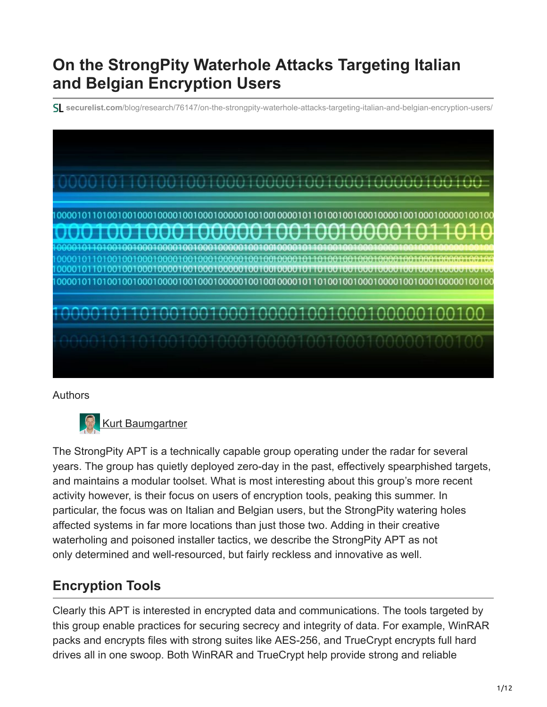# **On the StrongPity Waterhole Attacks Targeting Italian and Belgian Encryption Users**

**securelist.com**[/blog/research/76147/on-the-strongpity-waterhole-attacks-targeting-italian-and-belgian-encryption-users/](https://securelist.com/blog/research/76147/on-the-strongpity-waterhole-attacks-targeting-italian-and-belgian-encryption-users/)



#### Authors



The StrongPity APT is a technically capable group operating under the radar for several years. The group has quietly deployed zero-day in the past, effectively spearphished targets, and maintains a modular toolset. What is most interesting about this group's more recent activity however, is their focus on users of encryption tools, peaking this summer. In particular, the focus was on Italian and Belgian users, but the StrongPity watering holes affected systems in far more locations than just those two. Adding in their creative waterholing and poisoned installer tactics, we describe the StrongPity APT as not only determined and well-resourced, but fairly reckless and innovative as well.

## **Encryption Tools**

Clearly this APT is interested in encrypted data and communications. The tools targeted by this group enable practices for securing secrecy and integrity of data. For example, WinRAR packs and encrypts files with strong suites like AES-256, and TrueCrypt encrypts full hard drives all in one swoop. Both WinRAR and TrueCrypt help provide strong and reliable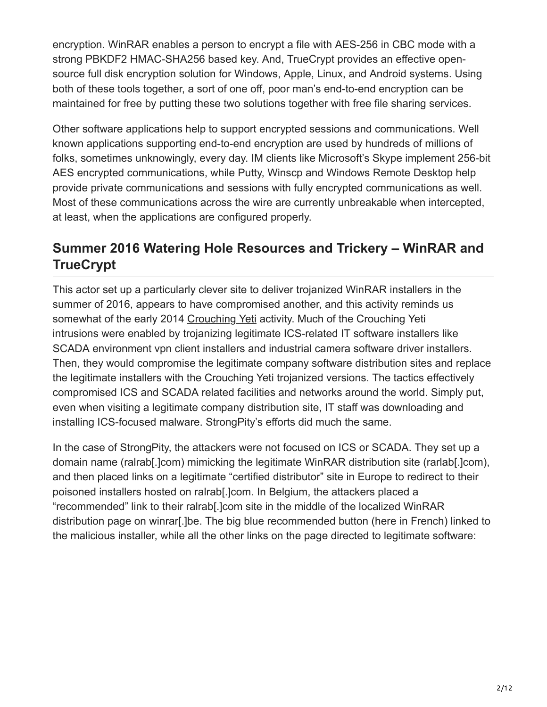encryption. WinRAR enables a person to encrypt a file with AES-256 in CBC mode with a strong PBKDF2 HMAC-SHA256 based key. And, TrueCrypt provides an effective opensource full disk encryption solution for Windows, Apple, Linux, and Android systems. Using both of these tools together, a sort of one off, poor man's end-to-end encryption can be maintained for free by putting these two solutions together with free file sharing services.

Other software applications help to support encrypted sessions and communications. Well known applications supporting end-to-end encryption are used by hundreds of millions of folks, sometimes unknowingly, every day. IM clients like Microsoft's Skype implement 256-bit AES encrypted communications, while Putty, Winscp and Windows Remote Desktop help provide private communications and sessions with fully encrypted communications as well. Most of these communications across the wire are currently unbreakable when intercepted, at least, when the applications are configured properly.

## **Summer 2016 Watering Hole Resources and Trickery – WinRAR and TrueCrypt**

This actor set up a particularly clever site to deliver trojanized WinRAR installers in the summer of 2016, appears to have compromised another, and this activity reminds us somewhat of the early 2014 [Crouching Yeti](https://securelist.com/energetic-bear-more-like-a-crouching-yeti/65240/) activity. Much of the Crouching Yeti intrusions were enabled by trojanizing legitimate ICS-related IT software installers like SCADA environment vpn client installers and industrial camera software driver installers. Then, they would compromise the legitimate company software distribution sites and replace the legitimate installers with the Crouching Yeti trojanized versions. The tactics effectively compromised ICS and SCADA related facilities and networks around the world. Simply put, even when visiting a legitimate company distribution site, IT staff was downloading and installing ICS-focused malware. StrongPity's efforts did much the same.

In the case of StrongPity, the attackers were not focused on ICS or SCADA. They set up a domain name (ralrab[.]com) mimicking the legitimate WinRAR distribution site (rarlab[.]com), and then placed links on a legitimate "certified distributor" site in Europe to redirect to their poisoned installers hosted on ralrab[.]com. In Belgium, the attackers placed a "recommended" link to their ralrab[.]com site in the middle of the localized WinRAR distribution page on winrar[.]be. The big blue recommended button (here in French) linked to the malicious installer, while all the other links on the page directed to legitimate software: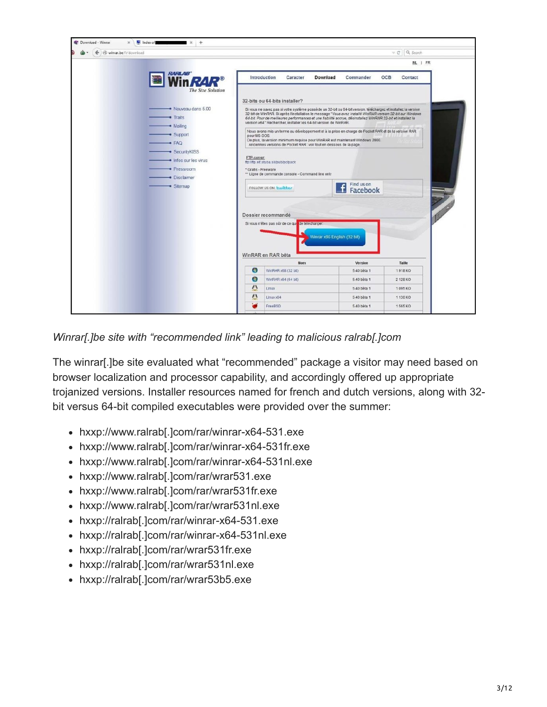

*Winrar[.]be site with "recommended link" leading to malicious ralrab[.]com*

The winrar[.]be site evaluated what "recommended" package a visitor may need based on browser localization and processor capability, and accordingly offered up appropriate trojanized versions. Installer resources named for french and dutch versions, along with 32 bit versus 64-bit compiled executables were provided over the summer:

- hxxp://www.ralrab[.]com/rar/winrar-x64-531.exe
- hxxp://www.ralrab[.]com/rar/winrar-x64-531fr.exe
- hxxp://www.ralrab[.]com/rar/winrar-x64-531nl.exe
- hxxp://www.ralrab[.]com/rar/wrar531.exe
- hxxp://www.ralrab[.]com/rar/wrar531fr.exe
- hxxp://www.ralrab[.]com/rar/wrar531nl.exe
- hxxp://ralrab[.]com/rar/winrar-x64-531.exe
- hxxp://ralrab[.]com/rar/winrar-x64-531nl.exe
- hxxp://ralrab[.]com/rar/wrar531fr.exe
- hxxp://ralrab[.]com/rar/wrar531nl.exe
- hxxp://ralrab[.]com/rar/wrar53b5.exe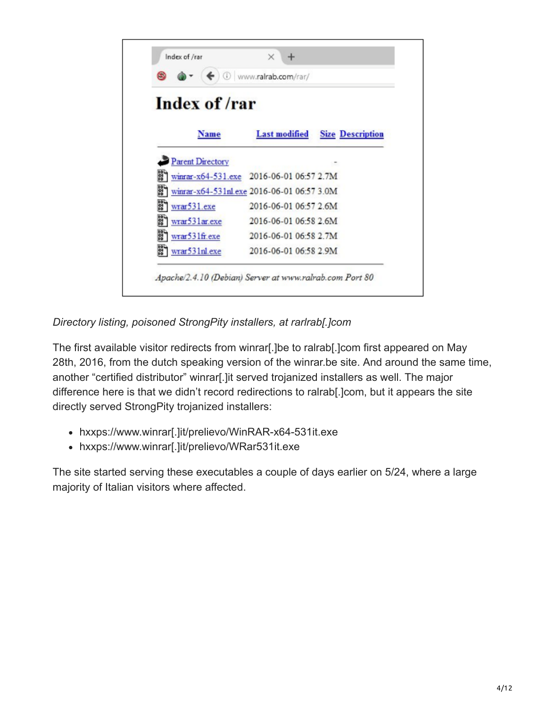

*Directory listing, poisoned StrongPity installers, at rarlrab[.]com*

The first available visitor redirects from winrar[.]be to ralrab[.]com first appeared on May 28th, 2016, from the dutch speaking version of the winrar.be site. And around the same time, another "certified distributor" winrar[.]it served trojanized installers as well. The major difference here is that we didn't record redirections to ralrab[.]com, but it appears the site directly served StrongPity trojanized installers:

- hxxps://www.winrar[.]it/prelievo/WinRAR-x64-531it.exe
- hxxps://www.winrar[.]it/prelievo/WRar531it.exe

The site started serving these executables a couple of days earlier on 5/24, where a large majority of Italian visitors where affected.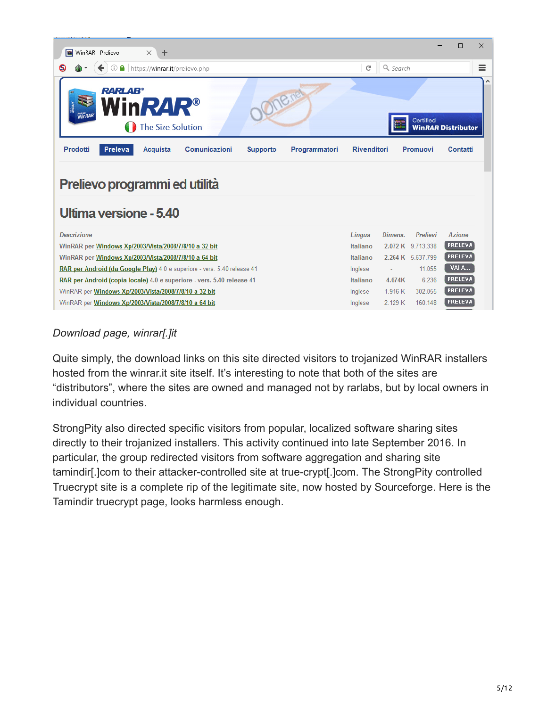| WinRAR - Prelievo<br>$\times$<br>÷                                                                             |                    |                                         | $\times$<br>П             |
|----------------------------------------------------------------------------------------------------------------|--------------------|-----------------------------------------|---------------------------|
| ① △ https://winrar.it/prelievo.php                                                                             | C                  | Q Search                                | Ξ                         |
| Onenet<br><b>RARLAB</b> <sup>®</sup><br><b>NinRAR®</b><br><b>The Size Solution</b>                             |                    | Certified                               | <b>WinRAR Distributor</b> |
| Prodotti<br><b>Preleva</b><br>Comunicazioni<br>Acquista<br>Programmatori<br><b>Supporto</b>                    | <b>Rivenditori</b> | Promuovi                                | Contatti                  |
|                                                                                                                |                    |                                         |                           |
| Prelievo programmi ed utilità<br>Ultima versione - 5.40                                                        |                    |                                         |                           |
| <b>Descrizione</b>                                                                                             | Lingua             | Dimens.<br>Prelievi                     | <b>Azione</b>             |
| WinRAR per Windows Xp/2003/Vista/2008/7/8/10 a 32 bit                                                          | Italiano           | 2.072 K 9.713.338                       | <b>PRELEVA</b>            |
| WinRAR per Windows Xp/2003/Vista/2008/7/8/10 a 64 bit                                                          | Italiano           | 2.264 K 5.637.799                       | <b>PRELEVA</b>            |
| RAR per Android (da Google Play) 4.0 e superiore - vers. 5.40 release 41                                       | Inglese            |                                         | VAI A<br>11.055           |
| RAR per Android (copia locale) 4.0 e superiore - vers. 5.40 release 41                                         | Italiano           | 4.674K                                  | <b>PRELEVA</b><br>6.236   |
| WinRAR per Windows Xp/2003/Vista/2008/7/8/10 a 32 bit<br>WinRAR per Windows Xp/2003/Vista/2008/7/8/10 a 64 bit | Inglese<br>Inglese | 1.916K<br>302.055<br>2.129 K<br>160.148 | <b>PRELEVA</b><br>PRELEVA |

#### *Download page, winrar[.]it*

Quite simply, the download links on this site directed visitors to trojanized WinRAR installers hosted from the winrar.it site itself. It's interesting to note that both of the sites are "distributors", where the sites are owned and managed not by rarlabs, but by local owners in individual countries.

StrongPity also directed specific visitors from popular, localized software sharing sites directly to their trojanized installers. This activity continued into late September 2016. In particular, the group redirected visitors from software aggregation and sharing site tamindir[.]com to their attacker-controlled site at true-crypt[.]com. The StrongPity controlled Truecrypt site is a complete rip of the legitimate site, now hosted by Sourceforge. Here is the Tamindir truecrypt page, looks harmless enough.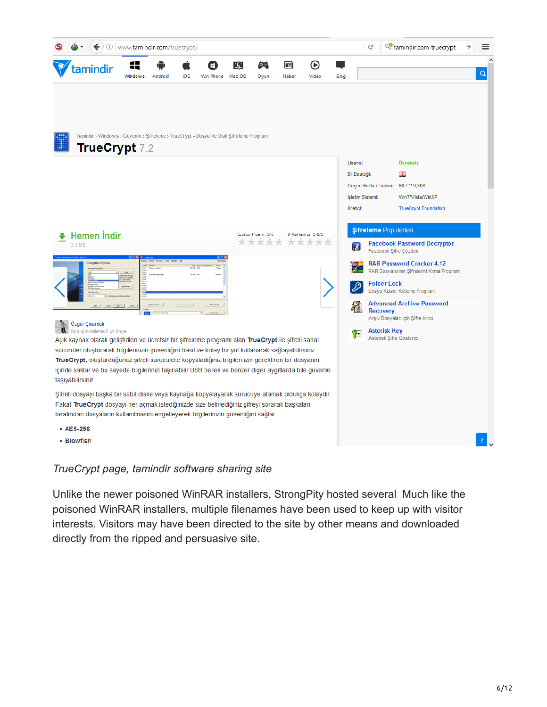

#### *TrueCrypt page, tamindir software sharing site*

Unlike the newer poisoned WinRAR installers, StrongPity hosted several Much like the poisoned WinRAR installers, multiple filenames have been used to keep up with visitor interests. Visitors may have been directed to the site by other means and downloaded directly from the ripped and persuasive site.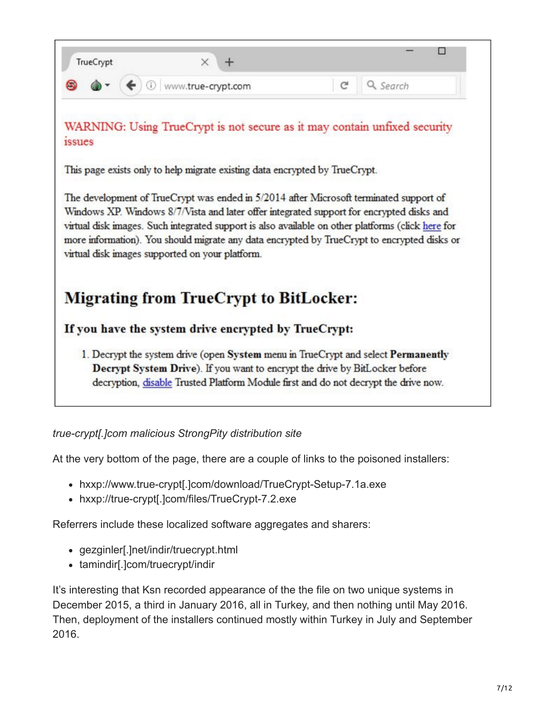

*true-crypt[.]com malicious StrongPity distribution site*

At the very bottom of the page, there are a couple of links to the poisoned installers:

- hxxp://www.true-crypt[.]com/download/TrueCrypt-Setup-7.1a.exe
- hxxp://true-crypt[.]com/files/TrueCrypt-7.2.exe

Referrers include these localized software aggregates and sharers:

- gezginler[.]net/indir/truecrypt.html
- tamindir[.]com/truecrypt/indir

It's interesting that Ksn recorded appearance of the the file on two unique systems in December 2015, a third in January 2016, all in Turkey, and then nothing until May 2016. Then, deployment of the installers continued mostly within Turkey in July and September 2016.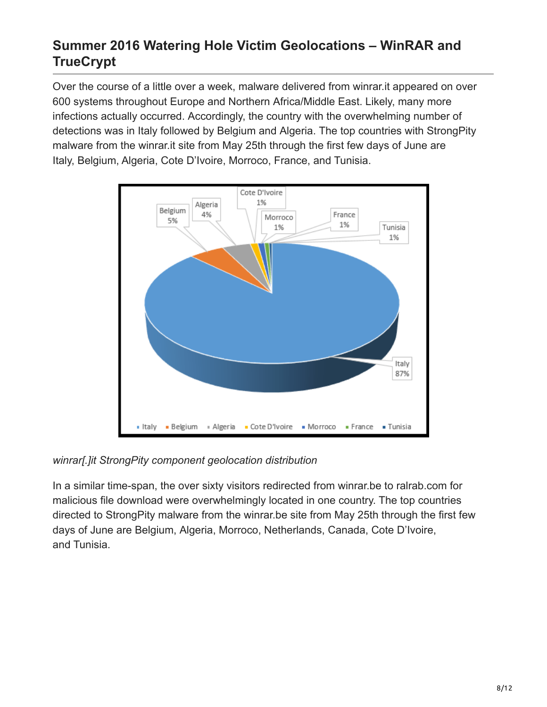# **Summer 2016 Watering Hole Victim Geolocations – WinRAR and TrueCrypt**

Over the course of a little over a week, malware delivered from winrar.it appeared on over 600 systems throughout Europe and Northern Africa/Middle East. Likely, many more infections actually occurred. Accordingly, the country with the overwhelming number of detections was in Italy followed by Belgium and Algeria. The top countries with StrongPity malware from the winrar.it site from May 25th through the first few days of June are Italy, Belgium, Algeria, Cote D'Ivoire, Morroco, France, and Tunisia.



*winrar[.]it StrongPity component geolocation distribution*

In a similar time-span, the over sixty visitors redirected from winrar.be to ralrab.com for malicious file download were overwhelmingly located in one country. The top countries directed to StrongPity malware from the winrar.be site from May 25th through the first few days of June are Belgium, Algeria, Morroco, Netherlands, Canada, Cote D'Ivoire, and Tunisia.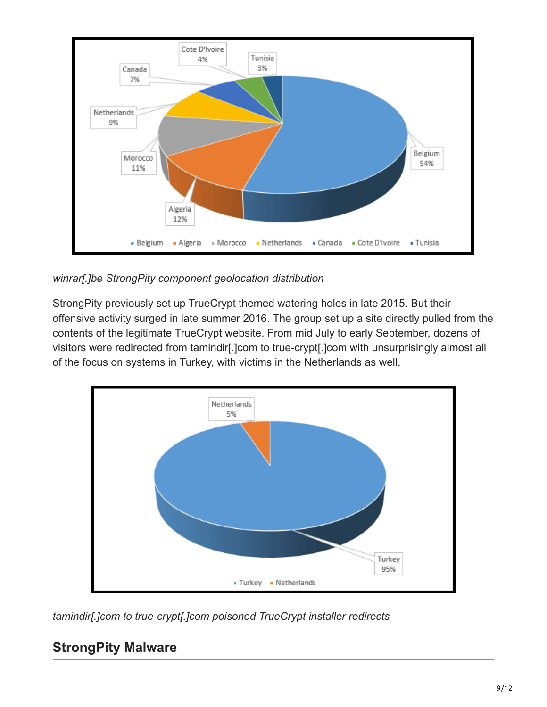

*winrar[.]be StrongPity component geolocation distribution*

StrongPity previously set up TrueCrypt themed watering holes in late 2015. But their offensive activity surged in late summer 2016. The group set up a site directly pulled from the contents of the legitimate TrueCrypt website. From mid July to early September, dozens of visitors were redirected from tamindir[.]com to true-crypt[.]com with unsurprisingly almost all of the focus on systems in Turkey, with victims in the Netherlands as well.



*tamindir[.]com to true-crypt[.]com poisoned TrueCrypt installer redirects*

## **StrongPity Malware**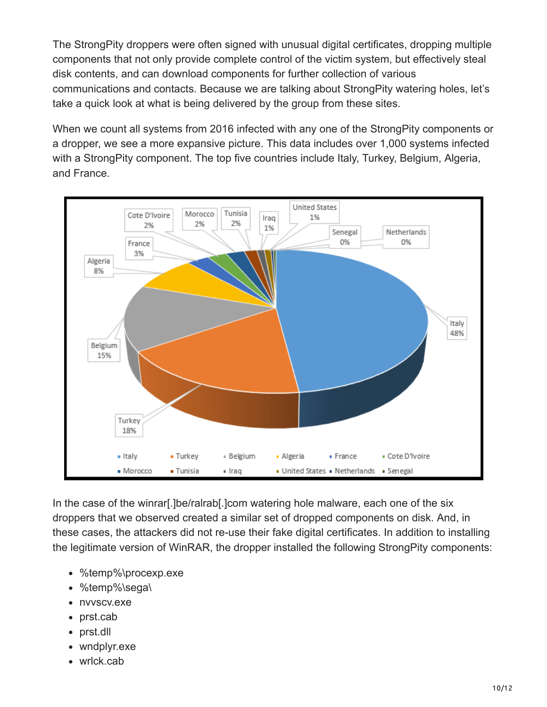The StrongPity droppers were often signed with unusual digital certificates, dropping multiple components that not only provide complete control of the victim system, but effectively steal disk contents, and can download components for further collection of various communications and contacts. Because we are talking about StrongPity watering holes, let's take a quick look at what is being delivered by the group from these sites.

When we count all systems from 2016 infected with any one of the StrongPity components or a dropper, we see a more expansive picture. This data includes over 1,000 systems infected with a StrongPity component. The top five countries include Italy, Turkey, Belgium, Algeria, and France.



In the case of the winrar[.]be/ralrab[.]com watering hole malware, each one of the six droppers that we observed created a similar set of dropped components on disk. And, in these cases, the attackers did not re-use their fake digital certificates. In addition to installing the legitimate version of WinRAR, the dropper installed the following StrongPity components:

- $\bullet$ %temp%\procexp.exe
- %temp%\sega\
- nvvscv.exe
- prst.cab
- prst.dll  $\bullet$
- wndplyr.exe
- wrlck.cab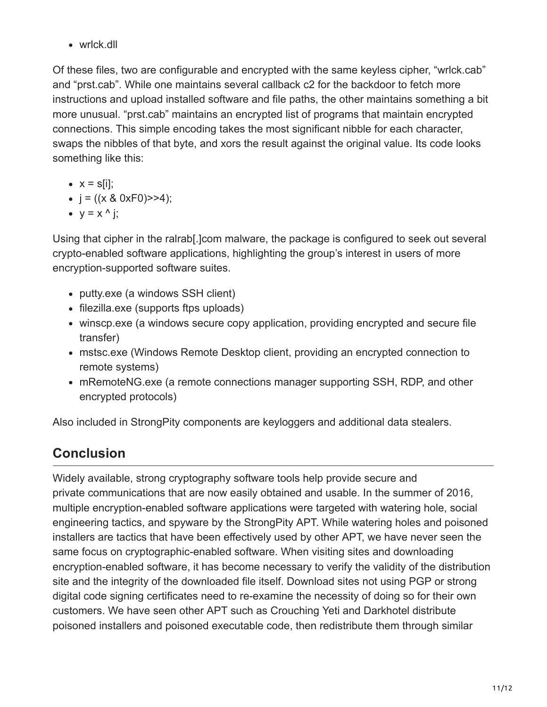• wrlck.dll

Of these files, two are configurable and encrypted with the same keyless cipher, "wrlck.cab" and "prst.cab". While one maintains several callback c2 for the backdoor to fetch more instructions and upload installed software and file paths, the other maintains something a bit more unusual. "prst.cab" maintains an encrypted list of programs that maintain encrypted connections. This simple encoding takes the most significant nibble for each character, swaps the nibbles of that byte, and xors the result against the original value. Its code looks something like this:

- $\bullet$   $x = \frac{s}{ii}$ ;
- $j = ((x 8 0xF0) > 4);$
- $\bullet$  y = x ^ j;

Using that cipher in the ralrab[.]com malware, the package is configured to seek out several crypto-enabled software applications, highlighting the group's interest in users of more encryption-supported software suites.

- putty.exe (a windows SSH client)
- filezilla.exe (supports ftps uploads)
- winscp.exe (a windows secure copy application, providing encrypted and secure file transfer)
- mstsc.exe (Windows Remote Desktop client, providing an encrypted connection to remote systems)
- mRemoteNG.exe (a remote connections manager supporting SSH, RDP, and other encrypted protocols)

Also included in StrongPity components are keyloggers and additional data stealers.

# **Conclusion**

Widely available, strong cryptography software tools help provide secure and private communications that are now easily obtained and usable. In the summer of 2016, multiple encryption-enabled software applications were targeted with watering hole, social engineering tactics, and spyware by the StrongPity APT. While watering holes and poisoned installers are tactics that have been effectively used by other APT, we have never seen the same focus on cryptographic-enabled software. When visiting sites and downloading encryption-enabled software, it has become necessary to verify the validity of the distribution site and the integrity of the downloaded file itself. Download sites not using PGP or strong digital code signing certificates need to re-examine the necessity of doing so for their own customers. We have seen other APT such as Crouching Yeti and Darkhotel distribute poisoned installers and poisoned executable code, then redistribute them through similar